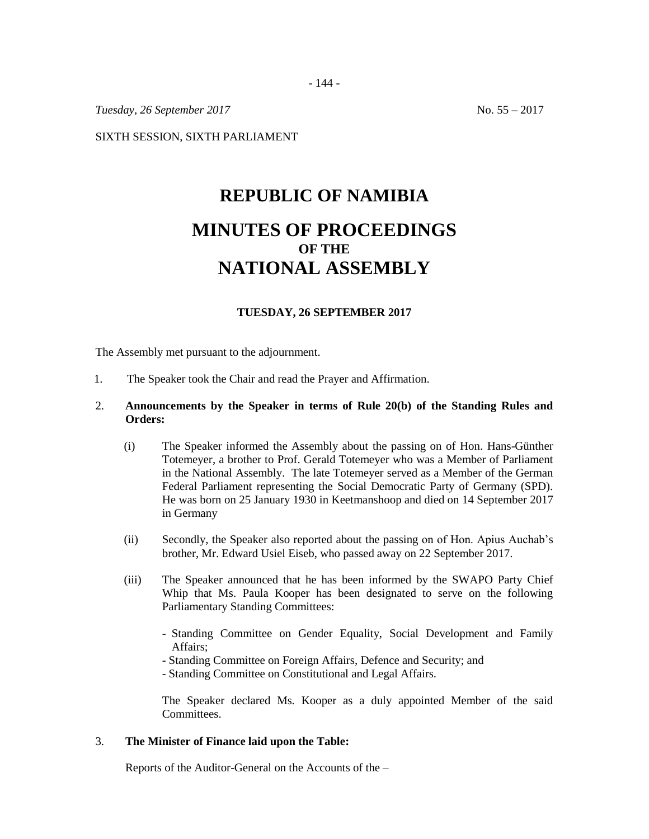*Tuesday, 26 September 2017* No. 55 – 2017

SIXTH SESSION, SIXTH PARLIAMENT

# **REPUBLIC OF NAMIBIA MINUTES OF PROCEEDINGS OF THE NATIONAL ASSEMBLY**

## **TUESDAY, 26 SEPTEMBER 2017**

The Assembly met pursuant to the adjournment.

1. The Speaker took the Chair and read the Prayer and Affirmation.

## 2. **Announcements by the Speaker in terms of Rule 20(b) of the Standing Rules and Orders:**

- (i) The Speaker informed the Assembly about the passing on of Hon. Hans-Günther Totemeyer, a brother to Prof. Gerald Totemeyer who was a Member of Parliament in the National Assembly. The late Totemeyer served as a Member of the German Federal Parliament representing the Social Democratic Party of Germany (SPD). He was born on 25 January 1930 in Keetmanshoop and died on 14 September 2017 in Germany
- (ii) Secondly, the Speaker also reported about the passing on of Hon. Apius Auchab's brother, Mr. Edward Usiel Eiseb, who passed away on 22 September 2017.
- (iii) The Speaker announced that he has been informed by the SWAPO Party Chief Whip that Ms. Paula Kooper has been designated to serve on the following Parliamentary Standing Committees:
	- Standing Committee on Gender Equality, Social Development and Family Affairs;
	- Standing Committee on Foreign Affairs, Defence and Security; and
	- Standing Committee on Constitutional and Legal Affairs.

The Speaker declared Ms. Kooper as a duly appointed Member of the said **Committees** 

#### 3. **The Minister of Finance laid upon the Table:**

Reports of the Auditor-General on the Accounts of the –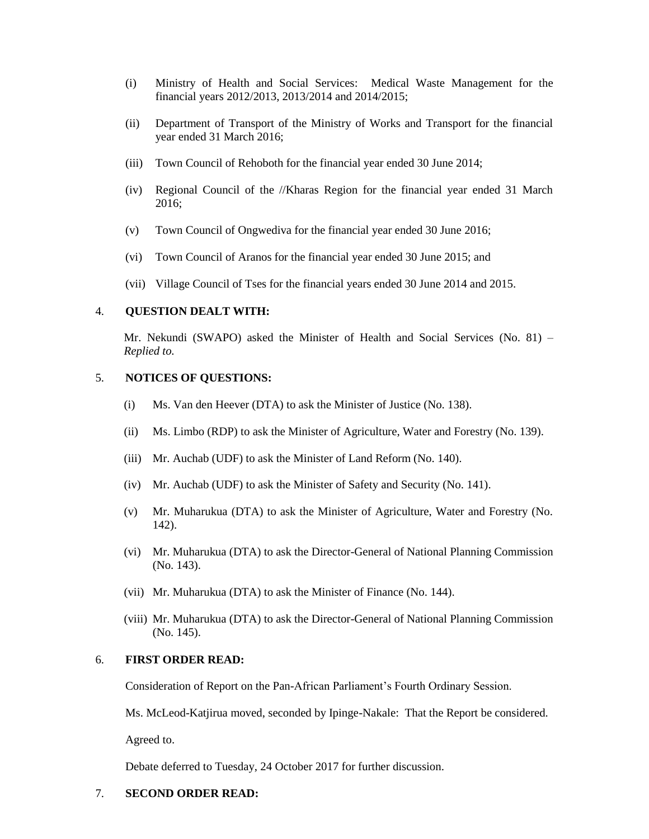- (i) Ministry of Health and Social Services: Medical Waste Management for the financial years 2012/2013, 2013/2014 and 2014/2015;
- (ii) Department of Transport of the Ministry of Works and Transport for the financial year ended 31 March 2016;
- (iii) Town Council of Rehoboth for the financial year ended 30 June 2014;
- (iv) Regional Council of the //Kharas Region for the financial year ended 31 March 2016;
- (v) Town Council of Ongwediva for the financial year ended 30 June 2016;
- (vi) Town Council of Aranos for the financial year ended 30 June 2015; and
- (vii) Village Council of Tses for the financial years ended 30 June 2014 and 2015.

#### 4. **QUESTION DEALT WITH:**

Mr. Nekundi (SWAPO) asked the Minister of Health and Social Services (No. 81) – *Replied to.*

## 5. **NOTICES OF QUESTIONS:**

- (i) Ms. Van den Heever (DTA) to ask the Minister of Justice (No. 138).
- (ii) Ms. Limbo (RDP) to ask the Minister of Agriculture, Water and Forestry (No. 139).
- (iii) Mr. Auchab (UDF) to ask the Minister of Land Reform (No. 140).
- (iv) Mr. Auchab (UDF) to ask the Minister of Safety and Security (No. 141).
- (v) Mr. Muharukua (DTA) to ask the Minister of Agriculture, Water and Forestry (No. 142).
- (vi) Mr. Muharukua (DTA) to ask the Director-General of National Planning Commission (No. 143).
- (vii) Mr. Muharukua (DTA) to ask the Minister of Finance (No. 144).
- (viii) Mr. Muharukua (DTA) to ask the Director-General of National Planning Commission (No. 145).

## 6. **FIRST ORDER READ:**

Consideration of Report on the Pan-African Parliament's Fourth Ordinary Session.

Ms. McLeod-Katjirua moved, seconded by Ipinge-Nakale: That the Report be considered.

Agreed to.

Debate deferred to Tuesday, 24 October 2017 for further discussion.

### 7. **SECOND ORDER READ:**